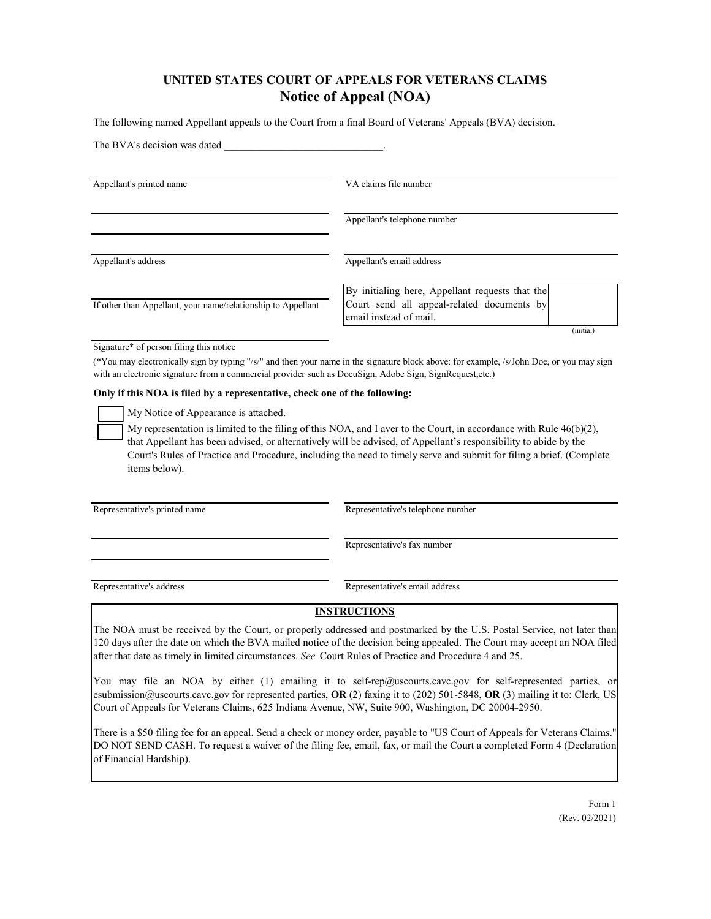# **UNITED STATES COURT OF APPEALS FOR VETERANS CLAIMS Notice of Appeal (NOA)**

The following named Appellant appeals to the Court from a final Board of Veterans' Appeals (BVA) decision.

| The BVA's decision was dated                                 |                                                                                                                         |
|--------------------------------------------------------------|-------------------------------------------------------------------------------------------------------------------------|
| Appellant's printed name                                     | VA claims file number                                                                                                   |
|                                                              | Appellant's telephone number                                                                                            |
| Appellant's address                                          | Appellant's email address                                                                                               |
| If other than Appellant, your name/relationship to Appellant | By initialing here, Appellant requests that the<br>Court send all appeal-related documents by<br>email instead of mail. |
|                                                              | (initial)                                                                                                               |

Signature\* of person filing this notice

(\*You may electronically sign by typing "/s/" and then your name in the signature block above: for example, /s/John Doe, or you may sign with an electronic signature from a commercial provider such as DocuSign, Adobe Sign, SignRequest,etc.)

#### **Only if this NOA is filed by a representative, check one of the following:**

My Notice of Appearance is attached.

My representation is limited to the filing of this NOA, and I aver to the Court, in accordance with Rule  $46(b)(2)$ , that Appellant has been advised, or alternatively will be advised, of Appellant's responsibility to abide by the Court's Rules of Practice and Procedure, including the need to timely serve and submit for filing a brief. (Complete items below).

Representative's printed name Representative's telephone number

Representative's fax number

Representative's address Representative's email address

#### **INSTRUCTIONS**

The NOA must be received by the Court, or properly addressed and postmarked by the U.S. Postal Service, not later than 120 days after the date on which the BVA mailed notice of the decision being appealed. The Court may accept an NOA filed after that date as timely in limited circumstances. *See* Court Rules of Practice and Procedure 4 and 25.

You may file an NOA by either (1) emailing it to self-rep@uscourts.cavc.gov for self-represented parties, or esubmission@uscourts.cavc.gov for represented parties, **OR** (2) faxing it to (202) 501-5848, **OR** (3) mailing it to: Clerk, US Court of Appeals for Veterans Claims, 625 Indiana Avenue, NW, Suite 900, Washington, DC 20004-2950.

There is a \$50 filing fee for an appeal. Send a check or money order, payable to "US Court of Appeals for Veterans Claims." DO NOT SEND CASH. To request a waiver of the filing fee, email, fax, or mail the Court a completed Form 4 (Declaration of Financial Hardship).

> Form 1 (Rev. 02/2021)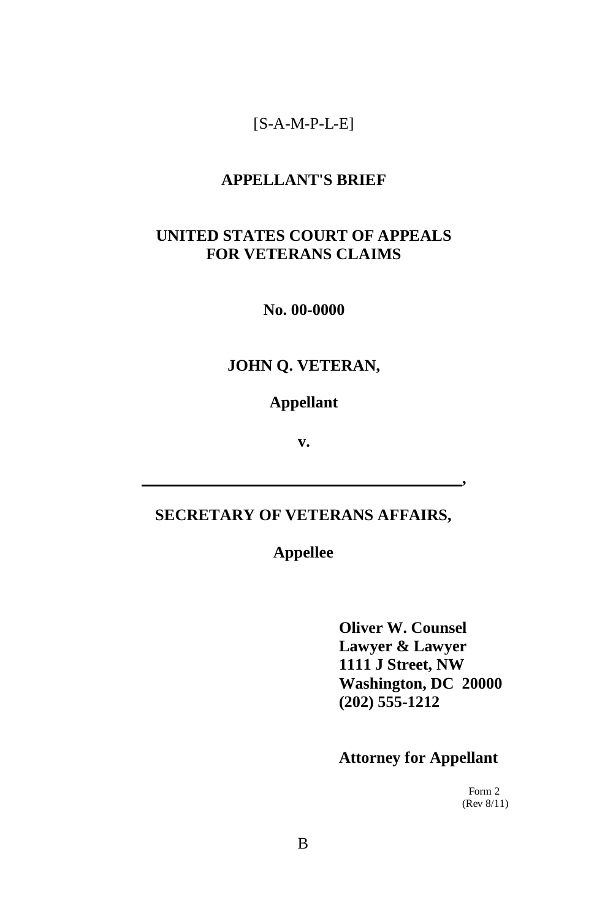## [S-A-M-P-L-E]

#### **APPELLANT'S BRIEF**

#### **UNITED STATES COURT OF APPEALS FOR VETERANS CLAIMS**

**No. 00-0000**

## **JOHN Q. VETERAN,**

#### **Appellant**

**v.**

#### **SECRETARY OF VETERANS AFFAIRS,**

## **Appellee**

**Oliver W. Counsel Lawyer & Lawyer 1111 J Street, NW Washington, DC 20000 (202) 555-1212**

**,**

#### **Attorney for Appellant**

Form 2 (Rev 8/11)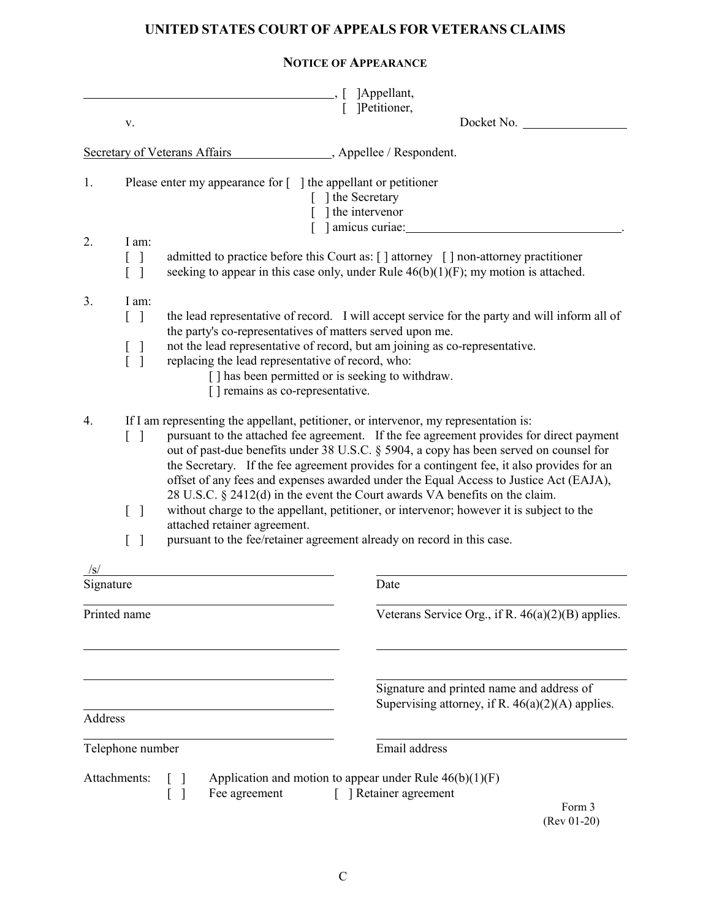## **UNITED STATES COURT OF APPEALS FOR VETERANS CLAIMS**

|           |                                                                                                                                                                                                                                                                                                                                                                                                                                                                                                                                                                       | ]Appellant,                                                                                                                                                                                                              |  |  |
|-----------|-----------------------------------------------------------------------------------------------------------------------------------------------------------------------------------------------------------------------------------------------------------------------------------------------------------------------------------------------------------------------------------------------------------------------------------------------------------------------------------------------------------------------------------------------------------------------|--------------------------------------------------------------------------------------------------------------------------------------------------------------------------------------------------------------------------|--|--|
|           | v.                                                                                                                                                                                                                                                                                                                                                                                                                                                                                                                                                                    | [ ]Petitioner,<br>Docket No.                                                                                                                                                                                             |  |  |
|           |                                                                                                                                                                                                                                                                                                                                                                                                                                                                                                                                                                       | _______, Appellee / Respondent.<br><b>Secretary of Veterans Affairs</b>                                                                                                                                                  |  |  |
| 1.<br>2.  | I am:<br>1                                                                                                                                                                                                                                                                                                                                                                                                                                                                                                                                                            | Please enter my appearance for [ ] the appellant or petitioner<br>[ ] the Secretary<br>] the intervenor<br>[ ] amicus curiae:<br>admitted to practice before this Court as: [] attorney [] non-attorney practitioner     |  |  |
|           |                                                                                                                                                                                                                                                                                                                                                                                                                                                                                                                                                                       | seeking to appear in this case only, under Rule $46(b)(1)(F)$ ; my motion is attached.                                                                                                                                   |  |  |
| 3.        | I am:<br>$\lceil \; \rceil$                                                                                                                                                                                                                                                                                                                                                                                                                                                                                                                                           | the lead representative of record. I will accept service for the party and will inform all of<br>the party's co-representatives of matters served upon me.                                                               |  |  |
|           | L<br>ſ                                                                                                                                                                                                                                                                                                                                                                                                                                                                                                                                                                | not the lead representative of record, but am joining as co-representative.<br>replacing the lead representative of record, who:<br>[] has been permitted or is seeking to withdraw.<br>[] remains as co-representative. |  |  |
| 4.        | If I am representing the appellant, petitioner, or intervenor, my representation is:<br>pursuant to the attached fee agreement. If the fee agreement provides for direct payment<br>$\lceil \ \rceil$<br>out of past-due benefits under 38 U.S.C. § 5904, a copy has been served on counsel for<br>the Secretary. If the fee agreement provides for a contingent fee, it also provides for an<br>offset of any fees and expenses awarded under the Equal Access to Justice Act (EAJA),<br>28 U.S.C. § 2412(d) in the event the Court awards VA benefits on the claim. |                                                                                                                                                                                                                          |  |  |
|           | $\begin{bmatrix} 1 \end{bmatrix}$                                                                                                                                                                                                                                                                                                                                                                                                                                                                                                                                     | without charge to the appellant, petitioner, or intervenor; however it is subject to the<br>attached retainer agreement.<br>pursuant to the fee/retainer agreement already on record in this case.                       |  |  |
|           | $\begin{bmatrix} 1 \end{bmatrix}$                                                                                                                                                                                                                                                                                                                                                                                                                                                                                                                                     |                                                                                                                                                                                                                          |  |  |
|           |                                                                                                                                                                                                                                                                                                                                                                                                                                                                                                                                                                       |                                                                                                                                                                                                                          |  |  |
| Signature |                                                                                                                                                                                                                                                                                                                                                                                                                                                                                                                                                                       | Date                                                                                                                                                                                                                     |  |  |
|           | Printed name                                                                                                                                                                                                                                                                                                                                                                                                                                                                                                                                                          | Veterans Service Org., if R. 46(a)(2)(B) applies.                                                                                                                                                                        |  |  |

Signature and printed name and address of Supervising attorney, if R.  $46(a)(2)(A)$  applies.

Address Telephone number **Email** address Attachments:  $\begin{bmatrix} 1 \\ 1 \end{bmatrix}$  Application and motion to appear under Rule 46(b)(1)(F)<br>  $\begin{bmatrix} 1 \\ 1 \end{bmatrix}$  Recagreement  $\begin{bmatrix} 1 \\ 1 \end{bmatrix}$  Retainer agreement [ ] Fee agreement [ ] Retainer agreement

 Form 3 (Rev 01-20)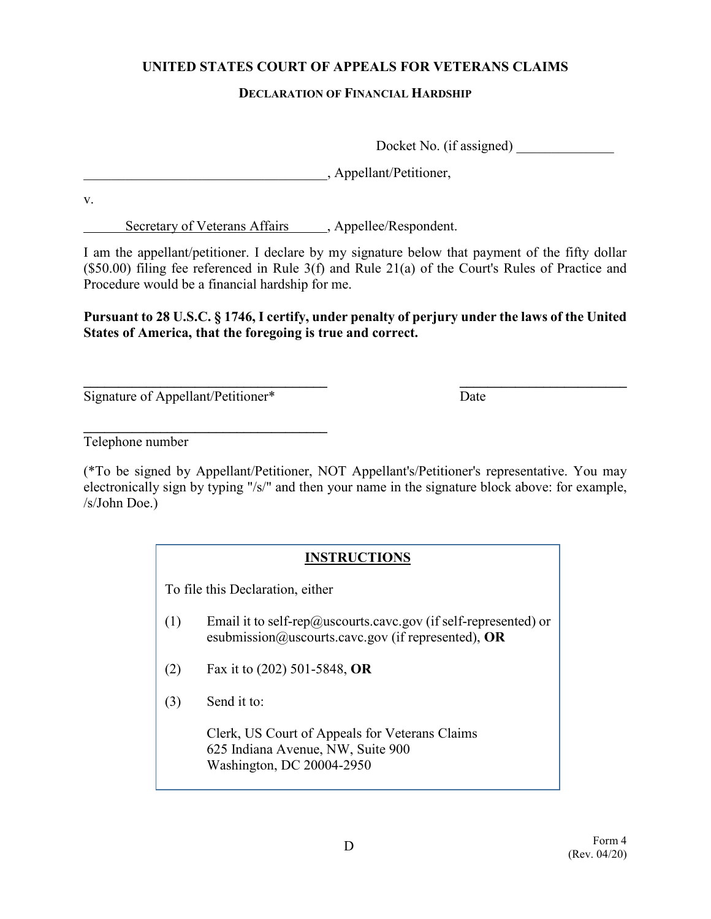### **UNITED STATES COURT OF APPEALS FOR VETERANS CLAIMS**

#### **DECLARATION OF FINANCIAL HARDSHIP**

Docket No. (if assigned)

\_\_\_\_\_\_\_\_\_\_\_\_\_\_\_\_\_\_\_\_\_\_\_\_\_\_\_\_\_\_\_\_\_\_\_, Appellant/Petitioner,

v.

Secretary of Veterans Affairs , Appellee/Respondent.

I am the appellant/petitioner. I declare by my signature below that payment of the fifty dollar (\$50.00) filing fee referenced in Rule 3(f) and Rule 21(a) of the Court's Rules of Practice and Procedure would be a financial hardship for me.

**Pursuant to 28 U.S.C. § 1746, I certify, under penalty of perjury under the laws of the United States of America, that the foregoing is true and correct.**

**\_\_\_\_\_\_\_\_\_\_\_\_\_\_\_\_\_\_\_\_\_\_\_\_\_\_\_\_\_\_\_\_\_\_\_ \_\_\_\_\_\_\_\_\_\_\_\_\_\_\_\_\_\_\_\_\_\_\_\_**  Signature of Appellant/Petitioner\* Date

**\_\_\_\_\_\_\_\_\_\_\_\_\_\_\_\_\_\_\_\_\_\_\_\_\_\_\_\_\_\_\_\_\_\_\_** 

Telephone number

(\*To be signed by Appellant/Petitioner, NOT Appellant's/Petitioner's representative. You may electronically sign by typing "/s/" and then your name in the signature block above: for example, /s/John Doe.)

## **INSTRUCTIONS**

To file this Declaration, either

- (1) Email it to self-rep@uscourts.cavc.gov (if self-represented) or esubmission@uscourts.cavc.gov (if represented), **OR**
- (2) Fax it to (202) 501-5848, **OR**
- (3) Send it to:

Clerk, US Court of Appeals for Veterans Claims 625 Indiana Avenue, NW, Suite 900 Washington, DC 20004-2950